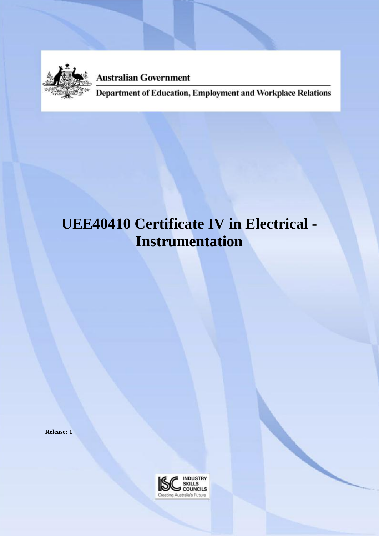

**Australian Government** 

Department of Education, Employment and Workplace Relations

# **UEE40410 Certificate IV in Electrical - Instrumentation**

**Release: 1**

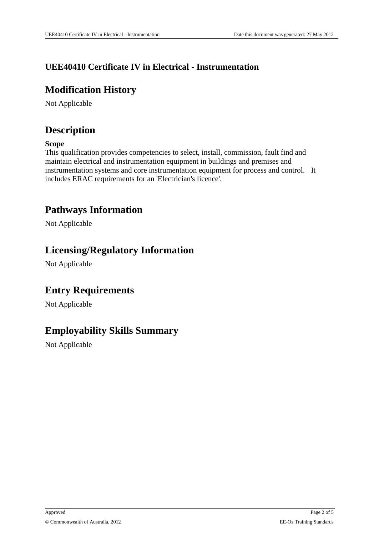#### **UEE40410 Certificate IV in Electrical - Instrumentation**

### **Modification History**

Not Applicable

### **Description**

#### **Scope**

This qualification provides competencies to select, install, commission, fault find and maintain electrical and instrumentation equipment in buildings and premises and instrumentation systems and core instrumentation equipment for process and control. It includes ERAC requirements for an 'Electrician's licence'.

### **Pathways Information**

Not Applicable

#### **Licensing/Regulatory Information**

Not Applicable

### **Entry Requirements**

Not Applicable

### **Employability Skills Summary**

Not Applicable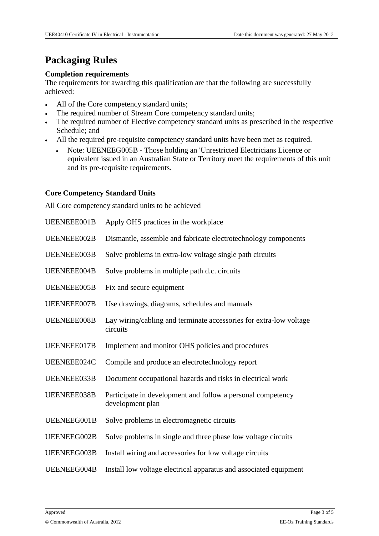## **Packaging Rules**

#### **Completion requirements**

The requirements for awarding this qualification are that the following are successfully achieved:

- All of the Core competency standard units;
- The required number of Stream Core competency standard units;
- The required number of Elective competency standard units as prescribed in the respective Schedule; and
- All the required pre-requisite competency standard units have been met as required.
	- Note: UEENEEG005B Those holding an 'Unrestricted Electricians Licence or equivalent issued in an Australian State or Territory meet the requirements of this unit and its pre-requisite requirements.

#### **Core Competency Standard Units**

All Core competency standard units to be achieved

| UEENEEE001B        | Apply OHS practices in the workplace                                            |  |
|--------------------|---------------------------------------------------------------------------------|--|
| UEENEEE002B        | Dismantle, assemble and fabricate electrotechnology components                  |  |
| UEENEEE003B        | Solve problems in extra-low voltage single path circuits                        |  |
| UEENEEE004B        | Solve problems in multiple path d.c. circuits                                   |  |
| <b>UEENEEE005B</b> | Fix and secure equipment                                                        |  |
| UEENEEE007B        | Use drawings, diagrams, schedules and manuals                                   |  |
| UEENEEE008B        | Lay wiring/cabling and terminate accessories for extra-low voltage<br>circuits  |  |
| UEENEEE017B        | Implement and monitor OHS policies and procedures                               |  |
| UEENEEE024C        | Compile and produce an electrotechnology report                                 |  |
| UEENEEE033B        | Document occupational hazards and risks in electrical work                      |  |
| UEENEEE038B        | Participate in development and follow a personal competency<br>development plan |  |
| UEENEEG001B        | Solve problems in electromagnetic circuits                                      |  |
| UEENEEG002B        | Solve problems in single and three phase low voltage circuits                   |  |
| UEENEEG003B        | Install wiring and accessories for low voltage circuits                         |  |
| UEENEEG004B        | Install low voltage electrical apparatus and associated equipment               |  |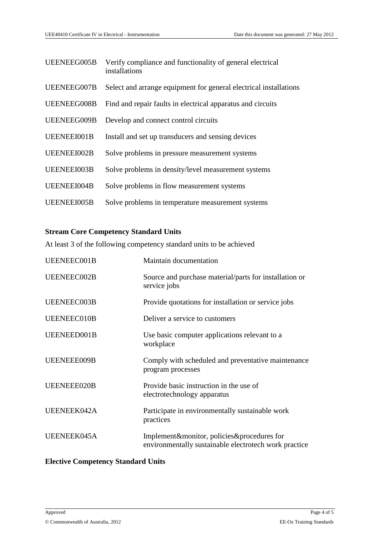| UEENEEG005B | Verify compliance and functionality of general electrical<br>installations |  |
|-------------|----------------------------------------------------------------------------|--|
| UEENEEG007B | Select and arrange equipment for general electrical installations          |  |
| UEENEEG008B | Find and repair faults in electrical apparatus and circuits                |  |
| UEENEEG009B | Develop and connect control circuits                                       |  |
| UEENEEI001B | Install and set up transducers and sensing devices                         |  |
| UEENEEI002B | Solve problems in pressure measurement systems                             |  |
| UEENEEI003B | Solve problems in density/level measurement systems                        |  |
| UEENEEI004B | Solve problems in flow measurement systems                                 |  |
| UEENEEI005B | Solve problems in temperature measurement systems                          |  |

#### **Stream Core Competency Standard Units**

At least 3 of the following competency standard units to be achieved

| UEENEEC001B | Maintain documentation                                                                              |
|-------------|-----------------------------------------------------------------------------------------------------|
| UEENEEC002B | Source and purchase material/parts for installation or<br>service jobs                              |
| UEENEEC003B | Provide quotations for installation or service jobs                                                 |
| UEENEEC010B | Deliver a service to customers                                                                      |
| UEENEED001B | Use basic computer applications relevant to a<br>workplace                                          |
| UEENEEE009B | Comply with scheduled and preventative maintenance<br>program processes                             |
| UEENEEE020B | Provide basic instruction in the use of<br>electrotechnology apparatus                              |
| UEENEEK042A | Participate in environmentally sustainable work<br>practices                                        |
| UEENEEK045A | Implement&monitor, policies&procedures for<br>environmentally sustainable electrotech work practice |

#### **Elective Competency Standard Units**